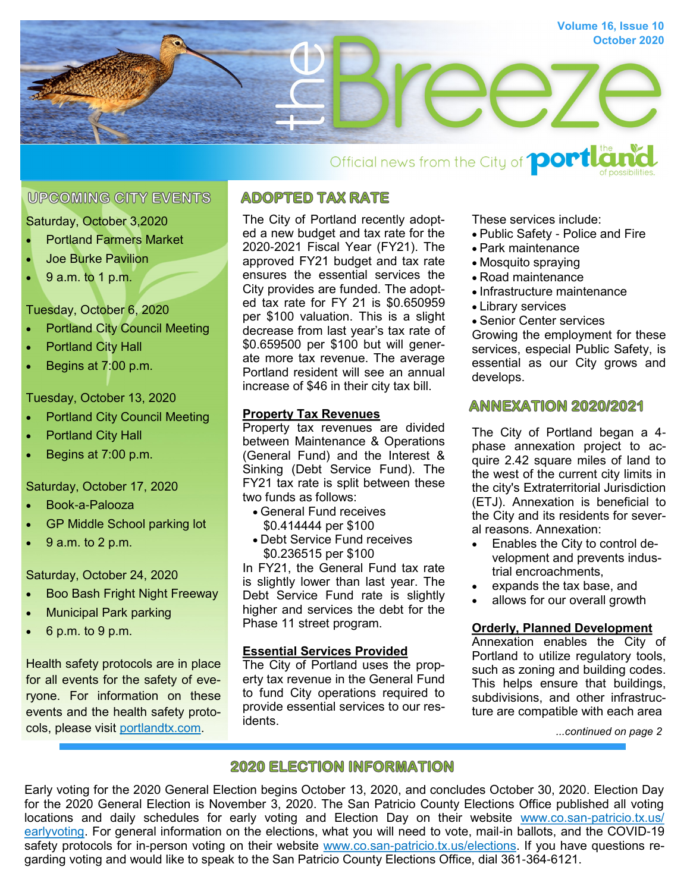

# Official news from the City of **portle**

# **UPCOMING CITY EVENTS**

#### Saturday, October 3,2020

- Portland Farmers Market
- Joe Burke Pavilion
- 9 a.m. to 1 p.m.

## Tuesday, October 6, 2020

- **Portland City Council Meeting**
- Portland City Hall
- Begins at 7:00 p.m.

## Tuesday, October 13, 2020

- Portland City Council Meeting
- Portland City Hall
- Begins at 7:00 p.m.

#### Saturday, October 17, 2020

- Book-a-Palooza
- GP Middle School parking lot
- 9 a.m. to 2 p.m.

#### Saturday, October 24, 2020

- Boo Bash Fright Night Freeway
- Municipal Park parking
- 6 p.m. to 9 p.m.

Health safety protocols are in place for all events for the safety of everyone. For information on these events and the health safety protocols, please visit [portlandtx.com.](http://www.portlandtx.com)

# **ADOPTED TAX RATE**

The City of Portland recently adopted a new budget and tax rate for the 2020-2021 Fiscal Year (FY21). The approved FY21 budget and tax rate ensures the essential services the City provides are funded. The adopted tax rate for FY 21 is \$0.650959 per \$100 valuation. This is a slight decrease from last year's tax rate of \$0.659500 per \$100 but will generate more tax revenue. The average Portland resident will see an annual increase of \$46 in their city tax bill.

## **Property Tax Revenues**

Property tax revenues are divided between Maintenance & Operations (General Fund) and the Interest & Sinking (Debt Service Fund). The FY21 tax rate is split between these two funds as follows:

- General Fund receives \$0.414444 per \$100
- Debt Service Fund receives \$0.236515 per \$100

In FY21, the General Fund tax rate is slightly lower than last year. The Debt Service Fund rate is slightly higher and services the debt for the Phase 11 street program.

#### **Essential Services Provided**

The City of Portland uses the property tax revenue in the General Fund to fund City operations required to provide essential services to our residents.

These services include:

- Public Safety Police and Fire
- Park maintenance
- Mosquito spraying
- Road maintenance
- Infrastructure maintenance
- Library services
- Senior Center services

Growing the employment for these services, especial Public Safety, is essential as our City grows and develops.

# **ANNEXATION 2020/2021**

The City of Portland began a 4 phase annexation project to acquire 2.42 square miles of land to the west of the current city limits in the city's Extraterritorial Jurisdiction (ETJ). Annexation is beneficial to the City and its residents for several reasons. Annexation:

- Enables the City to control development and prevents industrial encroachments,
- expands the tax base, and
- allows for our overall growth

#### **Orderly, Planned Development**

Annexation enables the City of Portland to utilize regulatory tools, such as zoning and building codes. This helps ensure that buildings, subdivisions, and other infrastructure are compatible with each area

*...continued on page 2*

# **2020 ELECTION INFORMATION**

Early voting for the 2020 General Election begins October 13, 2020, and concludes October 30, 2020. Election Day for the 2020 General Election is November 3, 2020. The San Patricio County Elections Office published all voting locations and daily schedules for early voting and Election Day on their website [www.co.san-patricio.tx.us/](http://www.co.san-patricio.tx.us/upload/page/5572/docs/Elections/Early%20Voting%20-%20Election%20Day%20Schedule/Early%20Voting%20and%20Election%20Day%20Schedule%202020%20General%20Election.pdf) [earlyvoting.](http://www.co.san-patricio.tx.us/upload/page/5572/docs/Elections/Early%20Voting%20-%20Election%20Day%20Schedule/Early%20Voting%20and%20Election%20Day%20Schedule%202020%20General%20Election.pdf) For general information on the elections, what you will need to vote, mail-in ballots, and the COVID-19 safety protocols for in-person voting on their website [www.co.san-patricio.tx.us/elections.](http://www.co.san-patricio.tx.us/page/sanpatricio.Elections) If you have questions regarding voting and would like to speak to the San Patricio County Elections Office, dial 361-364-6121.